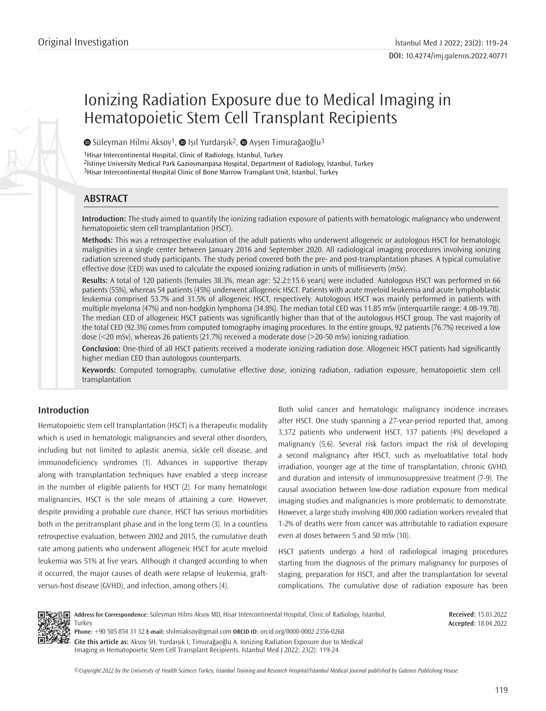# Ionizing Radiation Exposure due to Medical Imaging in Hematopoietic Stem Cell Transplant Recipients

 $\bullet$ Süleyman Hilmi Aksoy<sup>1</sup>,  $\bullet$  Işıl Yurdaışık<sup>2</sup>,  $\bullet$  Ayşen Timurağaoğlu<sup>3</sup>

1Hisar Intercontinental Hospital, Clinic of Radiology, İstanbul, Turkey

2İstinye University Medical Park Gaziosmanpasa Hospital, Department of Radiology, İstanbul, Turkey 3Hisar Intercontinental Hospital Clinic of Bone Marrow Transplant Unit, İstanbul, Turkey

# **ABSTRACT**

**Introduction:** The study aimed to quantify the ionizing radiation exposure of patients with hematologic malignancy who underwent hematopoietic stem cell transplantation (HSCT).

**Methods:** This was a retrospective evaluation of the adult patients who underwent allogeneic or autologous HSCT for hematologic malignities in a single center between January 2016 and September 2020. All radiological imaging procedures involving ionizing radiation screened study participants. The study period covered both the pre- and post-transplantation phases. A typical cumulative effective dose (CED) was used to calculate the exposed ionizing radiation in units of millisieverts (mSv).

**Results:** A total of 120 patients (females 38.3%, mean age: 52.2±15.6 years) were included. Autologous HSCT was performed in 66 patients (55%), whereas 54 patients (45%) underwent allogeneic HSCT. Patients with acute myeloid leukemia and acute lymphoblastic leukemia comprised 53.7% and 31.5% of allogeneic HSCT, respectively. Autologous HSCT was mainly performed in patients with multiple myeloma (47%) and non-hodgkin lymphoma (34.8%). The median total CED was 11.85 mSv (interquartile range: 4.08-19.78). The median CED of allogeneic HSCT patients was significantly higher than that of the autologous HSCT group. The vast majority of the total CED (92.3%) comes from computed tomography imaging procedures. In the entire groups, 92 patients (76.7%) received a low dose (<20 mSv), whereas 26 patients (21.7%) received a moderate dose (>20-50 mSv) ionizing radiation.

**Conclusion:** One-third of all HSCT patients received a moderate ionizing radiation dose. Allogeneic HSCT patients had significantly higher median CED than autologous counterparts.

**Keywords:** Computed tomography, cumulative effective dose, ionizing radiation, radiation exposure, hematopoietic stem cell transplantation

# **Introduction**

Hematopoietic stem cell transplantation (HSCT) is a therapeutic modality which is used in hematologic malignancies and several other disorders, including but not limited to aplastic anemia, sickle cell disease, and immunodeficiency syndromes (1). Advances in supportive therapy along with transplantation techniques have enabled a steep increase in the number of eligible patients for HSCT (2). For many hematologic malignancies, HSCT is the sole means of attaining a cure. However, despite providing a probable cure chance, HSCT has serious morbidities both in the peritransplant phase and in the long term (3). In a countless retrospective evaluation, between 2002 and 2015, the cumulative death rate among patients who underwent allogeneic HSCT for acute myeloid leukemia was 51% at five years. Although it changed according to when it occurred, the major causes of death were relapse of leukemia, graftversus-host disease (GVHD), and infection, among others (4).

Both solid cancer and hematologic malignancy incidence increases after HSCT. One study spanning a 27-year-period reported that, among 3,372 patients who underwent HSCT, 137 patients (4%) developed a malignancy (5,6). Several risk factors impact the risk of developing a second malignancy after HSCT, such as myeloablative total body irradiation, younger age at the time of transplantation, chronic GVHD, and duration and intensity of immunosuppressive treatment (7-9). The causal association between low-dose radiation exposure from medical imaging studies and malignancies is more problematic to demonstrate. However, a large study involving 400,000 radiation workers revealed that 1-2% of deaths were from cancer was attributable to radiation exposure even at doses between 5 and 50 mSv (10).

HSCT patients undergo a host of radiological imaging procedures starting from the diagnosis of the primary malignancy for purposes of staging, preparation for HSCT, and after the transplantation for several complications. The cumulative dose of radiation exposure has been



**Address for Correspondence:** Süleyman Hilmi Aksoy MD, Hisar Intercontinental Hospital, Clinic of Radiology, İstanbul, Turkey **Phone:** +90 505 854 31 32 **E-mail:** shilmiaksoy@gmail.com **ORCID ID:** orcid.org/0000-0002-2356-0268

**Cite this article as:** Aksoy SH, Yurdaışık I, Timurağaoğlu A. Ionizing Radiation Exposure due to Medical Imaging in Hematopoietic Stem Cell Transplant Recipients. İstanbul Med J 2022; 23(2): 119-24.

**Accepted:** 18.04.2022

**Received:** 15.03.2022

*©*Copyright 2022 by the University of Health Sciences Turkey, İstanbul Training and Research Hospital/İstanbul Medical Journal published by Galenos Publishing House.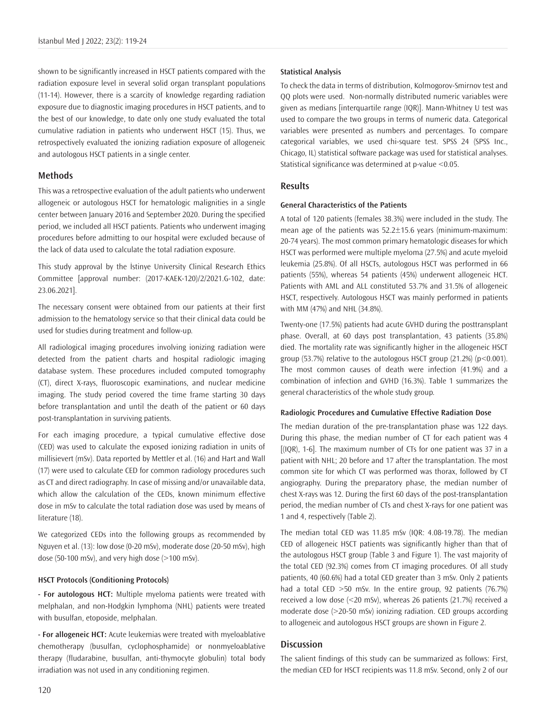shown to be significantly increased in HSCT patients compared with the radiation exposure level in several solid organ transplant populations (11-14). However, there is a scarcity of knowledge regarding radiation exposure due to diagnostic imaging procedures in HSCT patients, and to the best of our knowledge, to date only one study evaluated the total cumulative radiation in patients who underwent HSCT (15). Thus, we retrospectively evaluated the ionizing radiation exposure of allogeneic and autologous HSCT patients in a single center.

## **Methods**

This was a retrospective evaluation of the adult patients who underwent allogeneic or autologous HSCT for hematologic malignities in a single center between January 2016 and September 2020. During the specified period, we included all HSCT patients. Patients who underwent imaging procedures before admitting to our hospital were excluded because of the lack of data used to calculate the total radiation exposure.

This study approval by the İstinye University Clinical Research Ethics Committee [approval number: (2017-KAEK-120)/2/2021.G-102, date: 23.06.2021].

The necessary consent were obtained from our patients at their first admission to the hematology service so that their clinical data could be used for studies during treatment and follow-up.

All radiological imaging procedures involving ionizing radiation were detected from the patient charts and hospital radiologic imaging database system. These procedures included computed tomography (CT), direct X-rays, fluoroscopic examinations, and nuclear medicine imaging. The study period covered the time frame starting 30 days before transplantation and until the death of the patient or 60 days post-transplantation in surviving patients.

For each imaging procedure, a typical cumulative effective dose (CED) was used to calculate the exposed ionizing radiation in units of millisievert (mSv). Data reported by Mettler et al. (16) and Hart and Wall (17) were used to calculate CED for common radiology procedures such as CT and direct radiography. In case of missing and/or unavailable data, which allow the calculation of the CEDs, known minimum effective dose in mSv to calculate the total radiation dose was used by means of literature (18).

We categorized CEDs into the following groups as recommended by Nguyen et al. (13): low dose (0-20 mSv), moderate dose (20-50 mSv), high dose (50-100 mSv), and very high dose (>100 mSv).

#### **HSCT Protocols (Conditioning Protocols)**

**- For autologous HCT:** Multiple myeloma patients were treated with melphalan, and non-Hodgkin lymphoma (NHL) patients were treated with busulfan, etoposide, melphalan.

**- For allogeneic HCT:** Acute leukemias were treated with myeloablative chemotherapy (busulfan, cyclophosphamide) or nonmyeloablative therapy (fludarabine, busulfan, anti-thymocyte globulin) total body irradiation was not used in any conditioning regimen.

#### **Statistical Analysis**

To check the data in terms of distribution, Kolmogorov-Smirnov test and QQ plots were used. Non-normally distributed numeric variables were given as medians [interquartile range (IQR)]. Mann-Whitney U test was used to compare the two groups in terms of numeric data. Categorical variables were presented as numbers and percentages. To compare categorical variables, we used chi-square test. SPSS 24 (SPSS Inc., Chicago, IL) statistical software package was used for statistical analyses. Statistical significance was determined at p-value <0.05.

# **Results**

#### **General Characteristics of the Patients**

A total of 120 patients (females 38.3%) were included in the study. The mean age of the patients was 52.2±15.6 years (minimum-maximum: 20-74 years). The most common primary hematologic diseases for which HSCT was performed were multiple myeloma (27.5%) and acute myeloid leukemia (25.8%). Of all HSCTs, autologous HSCT was performed in 66 patients (55%), whereas 54 patients (45%) underwent allogeneic HCT. Patients with AML and ALL constituted 53.7% and 31.5% of allogeneic HSCT, respectively. Autologous HSCT was mainly performed in patients with MM (47%) and NHL (34.8%).

Twenty-one (17.5%) patients had acute GVHD during the posttransplant phase. Overall, at 60 days post transplantation, 43 patients (35.8%) died. The mortality rate was significantly higher in the allogeneic HSCT group (53.7%) relative to the autologous HSCT group (21.2%) (p<0.001). The most common causes of death were infection (41.9%) and a combination of infection and GVHD (16.3%). Table 1 summarizes the general characteristics of the whole study group.

#### **Radiologic Procedures and Cumulative Effective Radiation Dose**

The median duration of the pre-transplantation phase was 122 days. During this phase, the median number of CT for each patient was 4 [(IQR), 1-6]. The maximum number of CTs for one patient was 37 in a patient with NHL; 20 before and 17 after the transplantation. The most common site for which CT was performed was thorax, followed by CT angiography. During the preparatory phase, the median number of chest X-rays was 12. During the first 60 days of the post-transplantation period, the median number of CTs and chest X-rays for one patient was 1 and 4, respectively (Table 2).

The median total CED was 11.85 mSv (IQR: 4.08-19.78). The median CED of allogeneic HSCT patients was significantly higher than that of the autologous HSCT group (Table 3 and Figure 1). The vast majority of the total CED (92.3%) comes from CT imaging procedures. Of all study patients, 40 (60.6%) had a total CED greater than 3 mSv. Only 2 patients had a total CED >50 mSv. In the entire group, 92 patients (76.7%) received a low dose (<20 mSv), whereas 26 patients (21.7%) received a moderate dose (>20-50 mSv) ionizing radiation. CED groups according to allogeneic and autologous HSCT groups are shown in Figure 2.

## **Discussion**

The salient findings of this study can be summarized as follows: First, the median CED for HSCT recipients was 11.8 mSv. Second, only 2 of our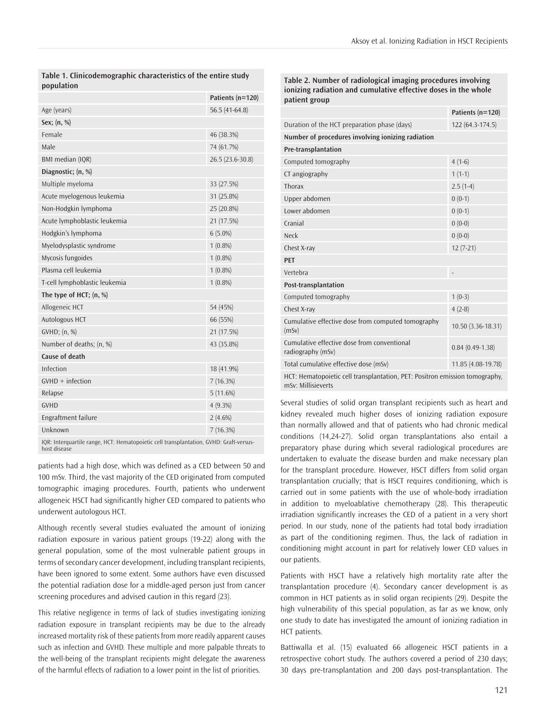**Table 1. Clinicodemographic characteristics of the entire study population**

|                               | Patients (n=120) |
|-------------------------------|------------------|
| Age (years)                   | $56.5(41-64.8)$  |
| Sex; $(n, %)$                 |                  |
| Female                        | 46 (38.3%)       |
| Male                          | 74 (61.7%)       |
| BMI median (IQR)              | 26.5 (23.6-30.8) |
| Diagnostic; (n, %)            |                  |
| Multiple myeloma              | 33 (27.5%)       |
| Acute myelogenous leukemia    | 31 (25.8%)       |
| Non-Hodgkin lymphoma          | 25 (20.8%)       |
| Acute lymphoblastic leukemia  | 21 (17.5%)       |
| Hodgkin's lymphoma            | $6(5.0\%)$       |
| Myelodysplastic syndrome      | $1(0.8\%)$       |
| Mycosis fungoides             | $1(0.8\%)$       |
| Plasma cell leukemia          | $1(0.8\%)$       |
| T-cell lymphoblastic leukemia | $1(0.8\%)$       |
| The type of HCT; $(n, %)$     |                  |
| Allogeneic HCT                | 54 (45%)         |
| Autologous HCT                | 66 (55%)         |
| GVHD; (n, %)                  | 21 (17.5%)       |
| Number of deaths; (n, %)      | 43 (35.8%)       |
| Cause of death                |                  |
| Infection                     | 18 (41.9%)       |
| $GVHD + inflection$           | 7(16.3%)         |
| Relapse                       | 5(11.6%)         |
| <b>GVHD</b>                   | $4(9.3\%)$       |
| Engraftment failure           | $2(4.6\%)$       |
| Unknown                       | 7(16.3%)         |
|                               |                  |

IQR: Interquartile range, HCT: Hematopoietic cell transplantation, GVHD: Graft-versushost disease

patients had a high dose, which was defined as a CED between 50 and 100 mSv. Third, the vast majority of the CED originated from computed tomographic imaging procedures. Fourth, patients who underwent allogeneic HSCT had significantly higher CED compared to patients who underwent autologous HCT.

Although recently several studies evaluated the amount of ionizing radiation exposure in various patient groups (19-22) along with the general population, some of the most vulnerable patient groups in terms of secondary cancer development, including transplant recipients, have been ignored to some extent. Some authors have even discussed the potential radiation dose for a middle-aged person just from cancer screening procedures and advised caution in this regard (23).

This relative negligence in terms of lack of studies investigating ionizing radiation exposure in transplant recipients may be due to the already increased mortality risk of these patients from more readily apparent causes such as infection and GVHD. These multiple and more palpable threats to the well-being of the transplant recipients might delegate the awareness of the harmful effects of radiation to a lower point in the list of priorities.

**Table 2. Number of radiological imaging procedures involving ionizing radiation and cumulative effective doses in the whole patient group**

|                                                                                                   | Patients (n=120)         |  |  |
|---------------------------------------------------------------------------------------------------|--------------------------|--|--|
| Duration of the HCT preparation phase (days)                                                      | 122 (64.3-174.5)         |  |  |
| Number of procedures involving ionizing radiation                                                 |                          |  |  |
| Pre-transplantation                                                                               |                          |  |  |
| Computed tomography                                                                               | $4(1-6)$                 |  |  |
| CT angiography                                                                                    | $1(1-1)$                 |  |  |
| Thorax                                                                                            | $2.5(1-4)$               |  |  |
| Upper abdomen                                                                                     | $0(0-1)$                 |  |  |
| Lower abdomen                                                                                     | $0(0-1)$                 |  |  |
| Cranial                                                                                           | $0(0-0)$                 |  |  |
| Neck                                                                                              | $0(0-0)$                 |  |  |
| Chest X-ray                                                                                       | $12(7-21)$               |  |  |
| <b>PET</b>                                                                                        |                          |  |  |
| Vertebra                                                                                          | $\overline{\phantom{a}}$ |  |  |
| Post-transplantation                                                                              |                          |  |  |
| Computed tomography                                                                               | $1(0-3)$                 |  |  |
| Chest X-ray                                                                                       | $4(2-8)$                 |  |  |
| Cumulative effective dose from computed tomography<br>(mSv)                                       | 10.50 (3.36-18.31)       |  |  |
| Cumulative effective dose from conventional<br>radiography (mSv)                                  | $0.84(0.49-1.38)$        |  |  |
| Total cumulative effective dose (mSv)                                                             | 11.85 (4.08-19.78)       |  |  |
| HCT: Hematopoietic cell transplantation, PET: Positron emission tomography,<br>mSv: Millisieverts |                          |  |  |

Several studies of solid organ transplant recipients such as heart and kidney revealed much higher doses of ionizing radiation exposure than normally allowed and that of patients who had chronic medical conditions (14,24-27). Solid organ transplantations also entail a preparatory phase during which several radiological procedures are undertaken to evaluate the disease burden and make necessary plan for the transplant procedure. However, HSCT differs from solid organ transplantation crucially; that is HSCT requires conditioning, which is carried out in some patients with the use of whole-body irradiation in addition to myeloablative chemotherapy (28). This therapeutic irradiation significantly increases the CED of a patient in a very short period. In our study, none of the patients had total body irradiation as part of the conditioning regimen. Thus, the lack of radiation in conditioning might account in part for relatively lower CED values in our patients.

Patients with HSCT have a relatively high mortality rate after the transplantation procedure (4). Secondary cancer development is as common in HCT patients as in solid organ recipients (29). Despite the high vulnerability of this special population, as far as we know, only one study to date has investigated the amount of ionizing radiation in HCT patients.

Battiwalla et al. (15) evaluated 66 allogeneic HSCT patients in a retrospective cohort study. The authors covered a period of 230 days; 30 days pre-transplantation and 200 days post-transplantation. The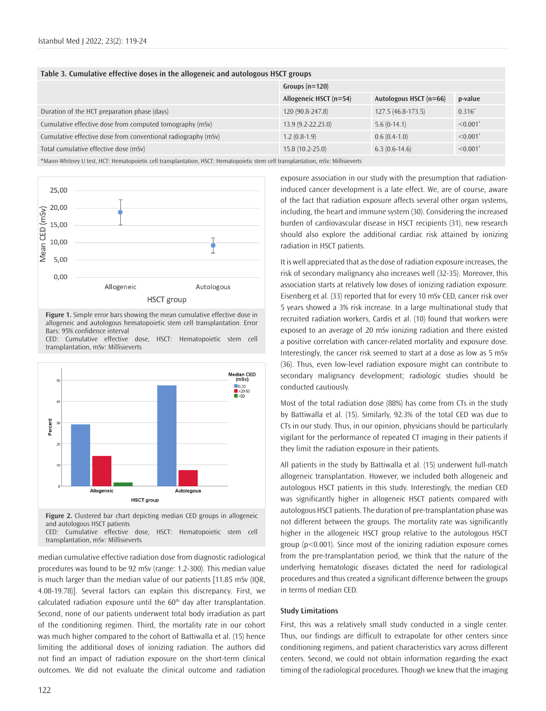| Table 3. Cumulative effective doses in the allogeneic and autologous HSCT groups |  |
|----------------------------------------------------------------------------------|--|
|                                                                                  |  |

|                                                               | Groups $(n=120)$       |                        |                        |
|---------------------------------------------------------------|------------------------|------------------------|------------------------|
|                                                               | Allogeneic HSCT (n=54) | Autologous HSCT (n=66) | p-value                |
| Duration of the HCT preparation phase (days)                  | 120 (90.8-247.8)       | $127.5(46.8-173.5)$    | $0.316*$               |
| Cumulative effective dose from computed tomography (mSv)      | $13.9(9.2 - 22.23.0)$  | $5.6(0-14.1)$          | $< 0.001$ <sup>*</sup> |
| Cumulative effective dose from conventional radiography (mSv) | $1.2(0.8-1.9)$         | $0.6(0.4-1.0)$         | $\leq 0.001$ *         |
| Total cumulative effective dose (mSv)                         | $15.8(10.2 - 25.0)$    | $6.3(0.6-14.6)$        | $\leq 0.001$ *         |
|                                                               |                        |                        |                        |

\*Mann-Whitney U test, HCT: Hematopoietic cell transplantation, HSCT: Hematopoietic stem cell transplantation, mSv: Millisieverts



**Figure 1.** Simple error bars showing the mean cumulative effective dose in allogeneic and autologous hematopoietic stem cell transplantation. Error Bars: 95% confidence interval

CED: Cumulative effective dose, HSCT: Hematopoietic stem cell transplantation, mSv: Millisieverts



**Figure 2.** Clustered bar chart depicting median CED groups in allogeneic and autologous HSCT patients CED: Cumulative effective dose, HSCT: Hematopoietic stem cell

transplantation, mSv: Millisieverts

median cumulative effective radiation dose from diagnostic radiological procedures was found to be 92 mSv (range: 1.2-300). This median value is much larger than the median value of our patients [11.85 mSv (IQR, 4.08-19.78)]. Several factors can explain this discrepancy. First, we  $cal$ ralculated radiation exposure until the  $60<sup>th</sup>$  day after transplantation. Second, none of our patients underwent total body irradiation as part of the conditioning regimen. Third, the mortality rate in our cohort was much higher compared to the cohort of Battiwalla et al. (15) hence limiting the additional doses of ionizing radiation. The authors did not find an impact of radiation exposure on the short-term clinical outcomes. We did not evaluate the clinical outcome and radiation exposure association in our study with the presumption that radiationinduced cancer development is a late effect. We, are of course, aware of the fact that radiation exposure affects several other organ systems, including, the heart and immune system (30). Considering the increased burden of cardiovascular disease in HSCT recipients (31), new research should also explore the additional cardiac risk attained by ionizing radiation in HSCT patients.

It is well appreciated that as the dose of radiation exposure increases, the risk of secondary malignancy also increases well (32-35). Moreover, this association starts at relatively low doses of ionizing radiation exposure. Eisenberg et al. (33) reported that for every 10 mSv CED, cancer risk over 5 years showed a 3% risk increase. In a large multinational study that recruited radiation workers, Cardis et al. (10) found that workers were exposed to an average of 20 mSv ionizing radiation and there existed a positive correlation with cancer-related mortality and exposure dose. Interestingly, the cancer risk seemed to start at a dose as low as 5 mSv (36). Thus, even low-level radiation exposure might can contribute to secondary malignancy development; radiologic studies should be conducted cautiously.

Most of the total radiation dose (88%) has come from CTs in the study by Battiwalla et al. (15). Similarly, 92.3% of the total CED was due to CTs in our study. Thus, in our opinion, physicians should be particularly vigilant for the performance of repeated CT imaging in their patients if they limit the radiation exposure in their patients.

All patients in the study by Battiwalla et al. (15) underwent full-match allogeneic transplantation. However, we included both allogeneic and autologous HSCT patients in this study. Interestingly, the median CED was significantly higher in allogeneic HSCT patients compared with autologous HSCT patients. The duration of pre-transplantation phase was not different between the groups. The mortality rate was significantly higher in the allogeneic HSCT group relative to the autologous HSCT group (p<0.001). Since most of the ionizing radiation exposure comes from the pre-transplantation period, we think that the nature of the underlying hematologic diseases dictated the need for radiological procedures and thus created a significant difference between the groups in terms of median CED.

#### **Study Limitations**

First, this was a relatively small study conducted in a single center. Thus, our findings are difficult to extrapolate for other centers since conditioning regimens, and patient characteristics vary across different centers. Second, we could not obtain information regarding the exact timing of the radiological procedures. Though we knew that the imaging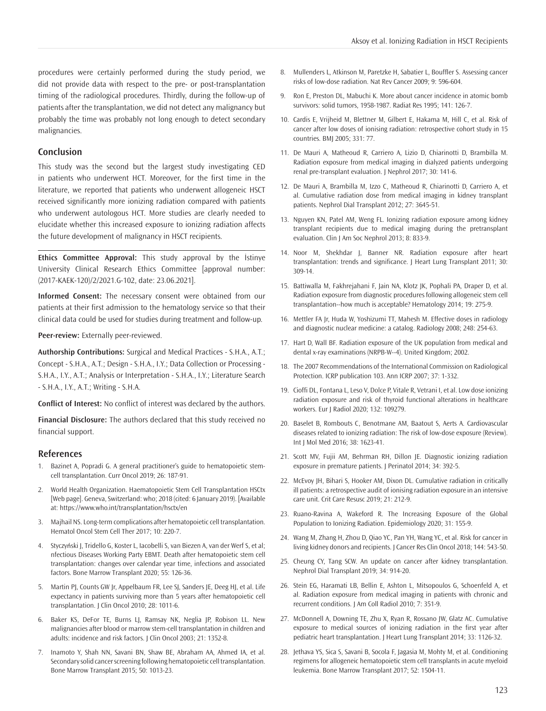procedures were certainly performed during the study period, we did not provide data with respect to the pre- or post-transplantation timing of the radiological procedures. Thirdly, during the follow-up of patients after the transplantation, we did not detect any malignancy but probably the time was probably not long enough to detect secondary malignancies.

# **Conclusion**

This study was the second but the largest study investigating CED in patients who underwent HCT. Moreover, for the first time in the literature, we reported that patients who underwent allogeneic HSCT received significantly more ionizing radiation compared with patients who underwent autologous HCT. More studies are clearly needed to elucidate whether this increased exposure to ionizing radiation affects the future development of malignancy in HSCT recipients.

**Ethics Committee Approval:** This study approval by the İstinye University Clinical Research Ethics Committee [approval number: (2017-KAEK-120)/2/2021.G-102, date: 23.06.2021].

**Informed Consent:** The necessary consent were obtained from our patients at their first admission to the hematology service so that their clinical data could be used for studies during treatment and follow-up.

**Peer-review:** Externally peer-reviewed.

**Authorship Contributions:** Surgical and Medical Practices - S.H.A., A.T.; Concept - S.H.A., A.T.; Design - S.H.A., I.Y.; Data Collection or Processing - S.H.A., I.Y., A.T.; Analysis or Interpretation - S.H.A., I.Y.; Literature Search - S.H.A., I.Y., A.T.; Writing - S.H.A.

**Conflict of Interest:** No conflict of interest was declared by the authors.

**Financial Disclosure:** The authors declared that this study received no financial support.

#### **References**

- 1. Bazinet A, Popradi G. A general practitioner's guide to hematopoietic stemcell transplantation. Curr Oncol 2019; 26: 187-91.
- 2. World Health Organization. Haematopoietic Stem Cell Transplantation HSCtx [Web page]. Geneva, Switzerland: who; 2018 (cited: 6 January 2019). [Available at: https://www.who.int/transplantation/hsctx/en
- 3. Majhail NS. Long-term complications after hematopoietic cell transplantation. Hematol Oncol Stem Cell Ther 2017; 10: 220-7.
- 4. Styczyński J, Tridello G, Koster L, Iacobelli S, van Biezen A, van der Werf S, et al; nfectious Diseases Working Party EBMT. Death after hematopoietic stem cell transplantation: changes over calendar year time, infections and associated factors. Bone Marrow Transplant 2020; 55: 126-36.
- 5. Martin PJ, Counts GW Jr, Appelbaum FR, Lee SJ, Sanders JE, Deeg HJ, et al. Life expectancy in patients surviving more than 5 years after hematopoietic cell transplantation. J Clin Oncol 2010; 28: 1011-6.
- 6. Baker KS, DeFor TE, Burns LJ, Ramsay NK, Neglia JP, Robison LL. New malignancies after blood or marrow stem-cell transplantation in children and adults: incidence and risk factors. J Clin Oncol 2003; 21: 1352-8.
- 7. Inamoto Y, Shah NN, Savani BN, Shaw BE, Abraham AA, Ahmed IA, et al. Secondary solid cancer screening following hematopoietic cell transplantation. Bone Marrow Transplant 2015; 50: 1013-23.
- 8. Mullenders L, Atkinson M, Paretzke H, Sabatier L, Bouffler S. Assessing cancer risks of low-dose radiation. Nat Rev Cancer 2009; 9: 596-604.
- 9. Ron E, Preston DL, Mabuchi K. More about cancer incidence in atomic bomb survivors: solid tumors, 1958-1987. Radiat Res 1995; 141: 126-7.
- 10. Cardis E, Vrijheid M, Blettner M, Gilbert E, Hakama M, Hill C, et al. Risk of cancer after low doses of ionising radiation: retrospective cohort study in 15 countries. BMJ 2005; 331: 77.
- 11. De Mauri A, Matheoud R, Carriero A, Lizio D, Chiarinotti D, Brambilla M. Radiation exposure from medical imaging in dialyzed patients undergoing renal pre-transplant evaluation. J Nephrol 2017; 30: 141-6.
- 12. De Mauri A, Brambilla M, Izzo C, Matheoud R, Chiarinotti D, Carriero A, et al. Cumulative radiation dose from medical imaging in kidney transplant patients. Nephrol Dial Transplant 2012; 27: 3645-51.
- 13. Nguyen KN, Patel AM, Weng FL. Ionizing radiation exposure among kidney transplant recipients due to medical imaging during the pretransplant evaluation. Clin J Am Soc Nephrol 2013; 8: 833-9.
- 14. Noor M, Shekhdar J, Banner NR. Radiation exposure after heart transplantation: trends and significance. J Heart Lung Transplant 2011; 30: 309-14.
- 15. Battiwalla M, Fakhrejahani F, Jain NA, Klotz JK, Pophali PA, Draper D, et al. Radiation exposure from diagnostic procedures following allogeneic stem cell transplantation--how much is acceptable? Hematology 2014; 19: 275-9.
- 16. Mettler FA Jr, Huda W, Yoshizumi TT, Mahesh M. Effective doses in radiology and diagnostic nuclear medicine: a catalog. Radiology 2008; 248: 254-63.
- 17. Hart D, Wall BF. Radiation exposure of the UK population from medical and dental x-ray examinations (NRPB-W--4). United Kingdom; 2002.
- 18. The 2007 Recommendations of the International Commission on Radiological Protection. ICRP publication 103. Ann ICRP 2007; 37: 1-332.
- 19. Cioffi DL, Fontana L, Leso V, Dolce P, Vitale R, Vetrani I, et al. Low dose ionizing radiation exposure and risk of thyroid functional alterations in healthcare workers. Eur J Radiol 2020; 132: 109279.
- 20. Baselet B, Rombouts C, Benotmane AM, Baatout S, Aerts A. Cardiovascular diseases related to ionizing radiation: The risk of low-dose exposure (Review). Int J Mol Med 2016; 38: 1623-41.
- 21. Scott MV, Fujii AM, Behrman RH, Dillon JE. Diagnostic ionizing radiation exposure in premature patients. J Perinatol 2014; 34: 392-5.
- 22. McEvoy JH, Bihari S, Hooker AM, Dixon DL. Cumulative radiation in critically ill patients: a retrospective audit of ionising radiation exposure in an intensive care unit. Crit Care Resusc 2019; 21: 212-9.
- 23. Ruano-Ravina A, Wakeford R. The Increasing Exposure of the Global Population to Ionizing Radiation. Epidemiology 2020; 31: 155-9.
- 24. Wang M, Zhang H, Zhou D, Qiao YC, Pan YH, Wang YC, et al. Risk for cancer in living kidney donors and recipients. J Cancer Res Clin Oncol 2018; 144: 543-50.
- 25. Cheung CY, Tang SCW. An update on cancer after kidney transplantation. Nephrol Dial Transplant 2019; 34: 914-20.
- 26. Stein EG, Haramati LB, Bellin E, Ashton L, Mitsopoulos G, Schoenfeld A, et al. Radiation exposure from medical imaging in patients with chronic and recurrent conditions. J Am Coll Radiol 2010; 7: 351-9.
- 27. McDonnell A, Downing TE, Zhu X, Ryan R, Rossano JW, Glatz AC. Cumulative exposure to medical sources of ionizing radiation in the first year after pediatric heart transplantation. J Heart Lung Transplant 2014; 33: 1126-32.
- 28. Jethava YS, Sica S, Savani B, Socola F, Jagasia M, Mohty M, et al. Conditioning regimens for allogeneic hematopoietic stem cell transplants in acute myeloid leukemia. Bone Marrow Transplant 2017; 52: 1504-11.